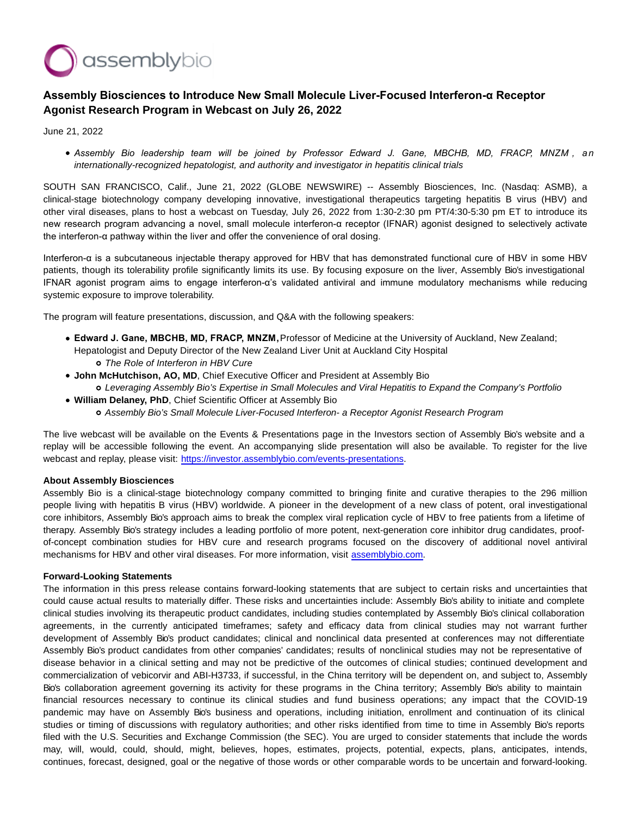

## **Assembly Biosciences to Introduce New Small Molecule Liver-Focused Interferon-α Receptor Agonist Research Program in Webcast on July 26, 2022**

June 21, 2022

*Assembly Bio leadership team will be joined by Professor Edward J. Gane, MBCHB, MD, FRACP, MNZM , a n* internationally-recognized hepatologist, and authority and investigator in hepatitis clinical trials

SOUTH SAN FRANCISCO, Calif., June 21, 2022 (GLOBE NEWSWIRE) -- Assembly Biosciences, Inc. (Nasdaq: ASMB), a clinical-stage biotechnology company developing innovative, investigational therapeutics targeting hepatitis B virus (HBV) and other viral diseases, plans to host a webcast on Tuesday, July 26, 2022 from 1:30-2:30 pm PT/4:30-5:30 pm ET to introduce its new research program advancing a novel, small molecule interferon-α receptor (IFNAR) agonist designed to selectively activate the interferon-α pathway within the liver and offer the convenience of oral dosing.

Interferon-α is a subcutaneous injectable therapy approved for HBV that has demonstrated functional cure of HBV in some HBV patients, though its tolerability profile significantly limits its use. By focusing exposure on the liver, Assembly Bio's investigational IFNAR agonist program aims to engage interferon-α's validated antiviral and immune modulatory mechanisms while reducing systemic exposure to improve tolerability.

The program will feature presentations, discussion, and Q&A with the following speakers:

- **Edward J. Gane, MBCHB, MD, FRACP, MNZM,** Professor of Medicine at the University of Auckland, New Zealand; Hepatologist and Deputy Director of the New Zealand Liver Unit at Auckland City Hospital The Role of Interferon in HBV Cure
- **John McHutchison, AO, MD**, Chief Executive Officer and President at Assembly Bio Leveraging Assembly Bio's Expertise in Small Molecules and Viral Hepatitis to Expand the Company's Portfolio
- **William Delaney, PhD**, Chief Scientific Officer at Assembly Bio
	- Assembly Bio's Small Molecule Liver-Focused Interferon- a Receptor Agonist Research Program

The live webcast will be available on the Events & Presentations page in the Investors section of Assembly Bio's website and a replay will be accessible following the event. An accompanying slide presentation will also be available. To register for the live webcast and replay, please visit: [https://investor.assemblybio.com/events-presentations.](https://www.globenewswire.com/Tracker?data=4V0RHIx9U_vtk0sEnmOqLSi_QszPVUOf7vj57xXXY2DEHqLvsyUsRUI19dkot863ZFSCUrjQdjOAEXerex66uhhcg1j23dMTILUGnijZQOlpyv4BKyEeE8mhgVH0tKiXvI7QkzKzPQCkicud19mOwDXTHMPhAwfl_1_lGft6_QutVfgtZ6g3pXsMyx691g0SGMckrybRfuczn-LWfsp23SufJ03hW87jDBXja-fSohgPhaop6TDLxPHHJHkW4ZtkjnRqPuJhLNgYSADjRscZhnmyfrFcV_scKscrEu-2oTwrxEbtMIBn4z9YneObFTesGEc4CLYB5CxztujGE5lywzxnAOqe-VdaVVq8NnJS4qz6HOXuuN6qL0pFc7m6eVhRpOvk1usheiY7Eh6n8A7Cdw==)

## **About Assembly Biosciences**

Assembly Bio is a clinical-stage biotechnology company committed to bringing finite and curative therapies to the 296 million people living with hepatitis B virus (HBV) worldwide. A pioneer in the development of a new class of potent, oral investigational core inhibitors, Assembly Bio's approach aims to break the complex viral replication cycle of HBV to free patients from a lifetime of therapy. Assembly Bio's strategy includes a leading portfolio of more potent, next-generation core inhibitor drug candidates, proofof-concept combination studies for HBV cure and research programs focused on the discovery of additional novel antiviral mechanisms for HBV and other viral diseases. For more information, visit [assemblybio.com.](https://www.globenewswire.com/Tracker?data=uBJOrdE6XIZSN21X68Ew8mD4ipGa9F88l2dYW8DOoSvmFgcX2SVVilWn0D1Oua3fDqOfMZ9YRMm5neX3v9aNnbQuh5Q2-zSNpdsm5mAW0RV-8zETPoVvRnlpliAOpW3qZuIty4MCArr4xMFm7HxjIHZ7gZPfZDwOAXpaN-Q2RPkmoZ5xqE89a1-YABTtLFqadnlvEJlgzCCHhzjErxEwHtPvryfocgMtIV1RJYsowZfaKpdUMnbvLbkEXsal-XEt)

## **Forward-Looking Statements**

The information in this press release contains forward-looking statements that are subject to certain risks and uncertainties that could cause actual results to materially differ. These risks and uncertainties include: Assembly Bio's ability to initiate and complete clinical studies involving its therapeutic product candidates, including studies contemplated by Assembly Bio's clinical collaboration agreements, in the currently anticipated timeframes; safety and efficacy data from clinical studies may not warrant further development of Assembly Bio's product candidates; clinical and nonclinical data presented at conferences may not differentiate Assembly Bio's product candidates from other companies' candidates; results of nonclinical studies may not be representative of disease behavior in a clinical setting and may not be predictive of the outcomes of clinical studies; continued development and commercialization of vebicorvir and ABI-H3733, if successful, in the China territory will be dependent on, and subject to, Assembly Bio's collaboration agreement governing its activity for these programs in the China territory; Assembly Bio's ability to maintain financial resources necessary to continue its clinical studies and fund business operations; any impact that the COVID-19 pandemic may have on Assembly Bio's business and operations, including initiation, enrollment and continuation of its clinical studies or timing of discussions with regulatory authorities; and other risks identified from time to time in Assembly Bio's reports filed with the U.S. Securities and Exchange Commission (the SEC). You are urged to consider statements that include the words may, will, would, could, should, might, believes, hopes, estimates, projects, potential, expects, plans, anticipates, intends, continues, forecast, designed, goal or the negative of those words or other comparable words to be uncertain and forward-looking.